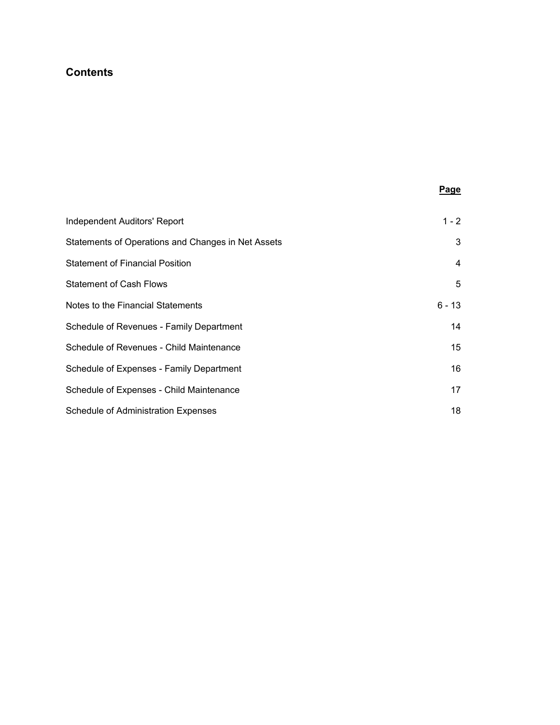# **Contents**

# **Page**

| <b>Independent Auditors' Report</b>                | $1 - 2$        |
|----------------------------------------------------|----------------|
| Statements of Operations and Changes in Net Assets | 3              |
| <b>Statement of Financial Position</b>             | $\overline{4}$ |
| <b>Statement of Cash Flows</b>                     | 5              |
| Notes to the Financial Statements                  | $6 - 13$       |
| Schedule of Revenues - Family Department           | 14             |
| Schedule of Revenues - Child Maintenance           | 15             |
| Schedule of Expenses - Family Department           | 16             |
| Schedule of Expenses - Child Maintenance           | 17             |
| <b>Schedule of Administration Expenses</b>         | 18             |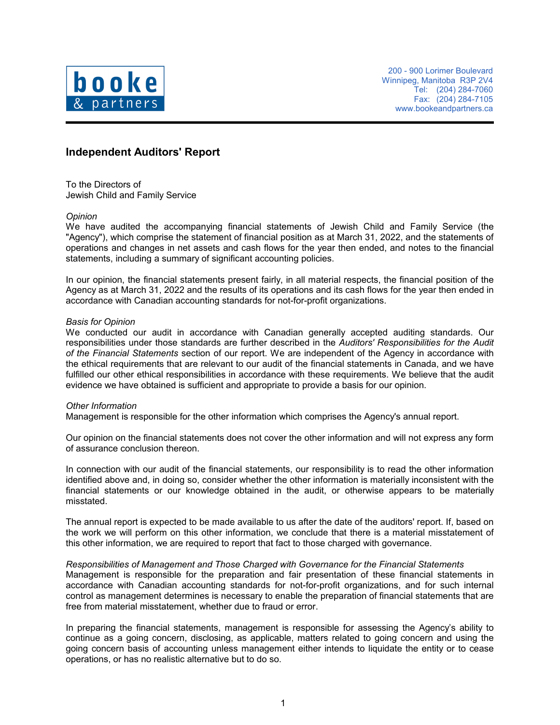

### **Independent Auditors' Report**

To the Directors of Jewish Child and Family Service

#### *Opinion*

We have audited the accompanying financial statements of Jewish Child and Family Service (the "Agency"), which comprise the statement of financial position as at March 31, 2022, and the statements of operations and changes in net assets and cash flows for the year then ended, and notes to the financial statements, including a summary of significant accounting policies.

In our opinion, the financial statements present fairly, in all material respects, the financial position of the Agency as at March 31, 2022 and the results of its operations and its cash flows for the year then ended in accordance with Canadian accounting standards for not-for-profit organizations.

#### *Basis for Opinion*

We conducted our audit in accordance with Canadian generally accepted auditing standards. Our responsibilities under those standards are further described in the *Auditors' Responsibilities for the Audit of the Financial Statements* section of our report. We are independent of the Agency in accordance with the ethical requirements that are relevant to our audit of the financial statements in Canada, and we have fulfilled our other ethical responsibilities in accordance with these requirements. We believe that the audit evidence we have obtained is sufficient and appropriate to provide a basis for our opinion.

#### *Other Information*

Management is responsible for the other information which comprises the Agency's annual report.

Our opinion on the financial statements does not cover the other information and will not express any form of assurance conclusion thereon.

In connection with our audit of the financial statements, our responsibility is to read the other information identified above and, in doing so, consider whether the other information is materially inconsistent with the financial statements or our knowledge obtained in the audit, or otherwise appears to be materially misstated.

The annual report is expected to be made available to us after the date of the auditors' report. If, based on the work we will perform on this other information, we conclude that there is a material misstatement of this other information, we are required to report that fact to those charged with governance.

#### *Responsibilities of Management and Those Charged with Governance for the Financial Statements*

Management is responsible for the preparation and fair presentation of these financial statements in accordance with Canadian accounting standards for not-for-profit organizations, and for such internal control as management determines is necessary to enable the preparation of financial statements that are free from material misstatement, whether due to fraud or error.

In preparing the financial statements, management is responsible for assessing the Agency's ability to continue as a going concern, disclosing, as applicable, matters related to going concern and using the going concern basis of accounting unless management either intends to liquidate the entity or to cease operations, or has no realistic alternative but to do so.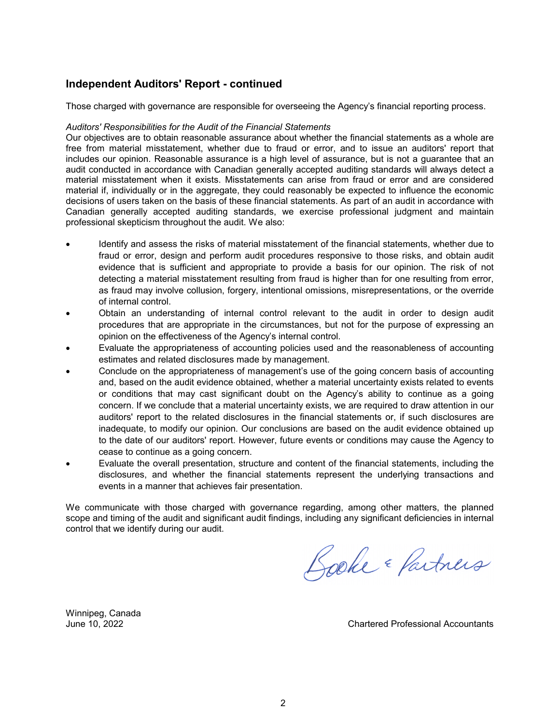## **Independent Auditors' Report - continued**

Those charged with governance are responsible for overseeing the Agency's financial reporting process.

#### *Auditors' Responsibilities for the Audit of the Financial Statements*

Our objectives are to obtain reasonable assurance about whether the financial statements as a whole are free from material misstatement, whether due to fraud or error, and to issue an auditors' report that includes our opinion. Reasonable assurance is a high level of assurance, but is not a guarantee that an audit conducted in accordance with Canadian generally accepted auditing standards will always detect a material misstatement when it exists. Misstatements can arise from fraud or error and are considered material if, individually or in the aggregate, they could reasonably be expected to influence the economic decisions of users taken on the basis of these financial statements. As part of an audit in accordance with Canadian generally accepted auditing standards, we exercise professional judgment and maintain professional skepticism throughout the audit. We also:

- Identify and assess the risks of material misstatement of the financial statements, whether due to fraud or error, design and perform audit procedures responsive to those risks, and obtain audit evidence that is sufficient and appropriate to provide a basis for our opinion. The risk of not detecting a material misstatement resulting from fraud is higher than for one resulting from error, as fraud may involve collusion, forgery, intentional omissions, misrepresentations, or the override of internal control.
- Obtain an understanding of internal control relevant to the audit in order to design audit procedures that are appropriate in the circumstances, but not for the purpose of expressing an opinion on the effectiveness of the Agency's internal control.
- Evaluate the appropriateness of accounting policies used and the reasonableness of accounting estimates and related disclosures made by management.
- Conclude on the appropriateness of management's use of the going concern basis of accounting and, based on the audit evidence obtained, whether a material uncertainty exists related to events or conditions that may cast significant doubt on the Agency's ability to continue as a going concern. If we conclude that a material uncertainty exists, we are required to draw attention in our auditors' report to the related disclosures in the financial statements or, if such disclosures are inadequate, to modify our opinion. Our conclusions are based on the audit evidence obtained up to the date of our auditors' report. However, future events or conditions may cause the Agency to cease to continue as a going concern.
- Evaluate the overall presentation, structure and content of the financial statements, including the disclosures, and whether the financial statements represent the underlying transactions and events in a manner that achieves fair presentation.

We communicate with those charged with governance regarding, among other matters, the planned scope and timing of the audit and significant audit findings, including any significant deficiencies in internal control that we identify during our audit.

Booke & Partners

Winnipeg, Canada

June 10, 2022 Chartered Professional Accountants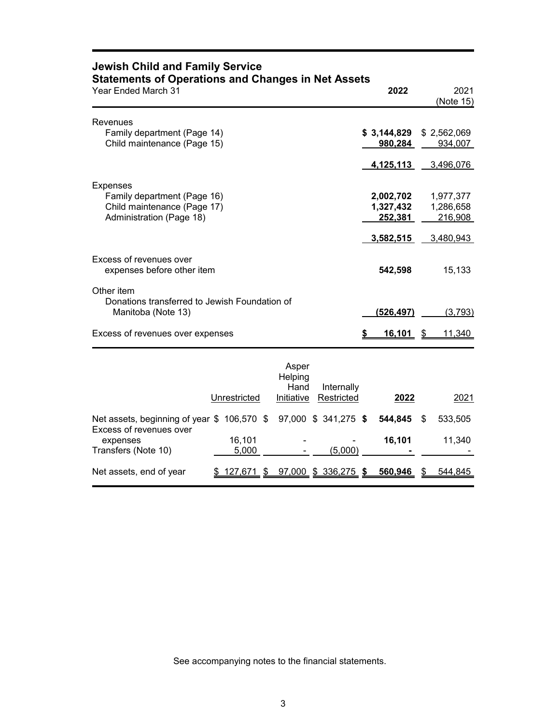# **Jewish Child and Family Service**

#### **Statements of Operations and Changes in Net Assets**

| <b>Year Ended March 31</b>                                          |         |            | 2022           | 2021<br>(Note 15)   |
|---------------------------------------------------------------------|---------|------------|----------------|---------------------|
| Revenues                                                            |         |            |                |                     |
| Family department (Page 14)                                         |         |            | \$3,144,829    | \$2,562,069         |
| Child maintenance (Page 15)                                         |         |            | 980,284        | 934,007             |
|                                                                     |         |            | 4,125,113      | 3,496,076           |
| <b>Expenses</b>                                                     |         |            |                |                     |
| Family department (Page 16)                                         |         |            | 2,002,702      | 1,977,377           |
| Child maintenance (Page 17)                                         |         |            | 1,327,432      | 1,286,658           |
| Administration (Page 18)                                            |         |            | 252,381        | 216,908             |
|                                                                     |         |            | 3,582,515      | 3,480,943           |
| Excess of revenues over<br>expenses before other item               |         |            | 542,598        | 15,133              |
| Other item                                                          |         |            |                |                     |
| Donations transferred to Jewish Foundation of<br>Manitoba (Note 13) |         |            | (526, 497)     | (3,793)             |
| Excess of revenues over expenses                                    |         |            | <u>16,101 </u> | <u>11,340</u><br>\$ |
|                                                                     | Asper   |            |                |                     |
|                                                                     | Helping |            |                |                     |
|                                                                     | Hand    | Internally |                |                     |

|                                                                                             | Unrestricted    | Hand<br>Internally<br>Restricted<br>Initiative | 2022           | 2021    |
|---------------------------------------------------------------------------------------------|-----------------|------------------------------------------------|----------------|---------|
| Net assets, beginning of year \$ 106,570 \$ 97,000 \$ 341,275 \$<br>Excess of revenues over |                 |                                                | 544,845<br>\$. | 533.505 |
| expenses<br>Transfers (Note 10)                                                             | 16,101<br>5,000 | (5,000)                                        | 16.101         | 11,340  |
| Net assets, end of year                                                                     | 127,671         | 97,000 \$ 336,275 \$                           | 560,946        | 544,845 |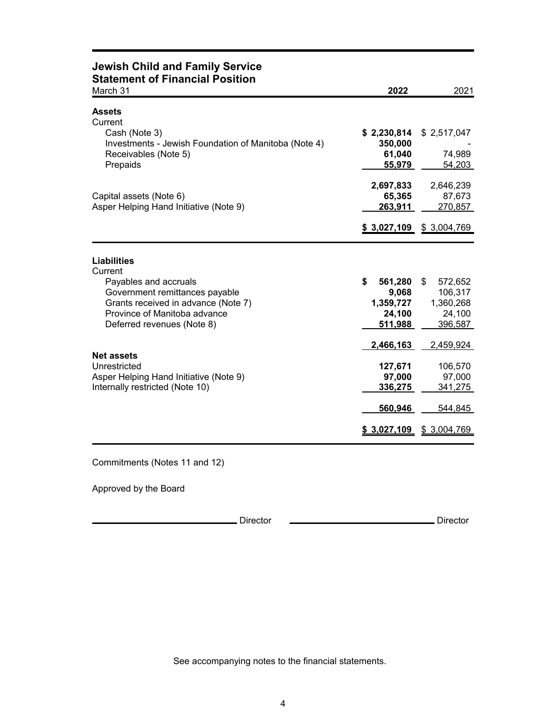| <b>Jewish Child and Family Service</b>                                                                                                                                                                                                                                                                          |                                                                                                                         |                                                                                                                    |
|-----------------------------------------------------------------------------------------------------------------------------------------------------------------------------------------------------------------------------------------------------------------------------------------------------------------|-------------------------------------------------------------------------------------------------------------------------|--------------------------------------------------------------------------------------------------------------------|
| <b>Statement of Financial Position</b><br>March 31                                                                                                                                                                                                                                                              | 2022                                                                                                                    | 2021                                                                                                               |
| <b>Assets</b>                                                                                                                                                                                                                                                                                                   |                                                                                                                         |                                                                                                                    |
| Current                                                                                                                                                                                                                                                                                                         |                                                                                                                         |                                                                                                                    |
| Cash (Note 3)<br>Investments - Jewish Foundation of Manitoba (Note 4)                                                                                                                                                                                                                                           | \$2,230,814<br>350,000                                                                                                  | \$2,517,047                                                                                                        |
| Receivables (Note 5)                                                                                                                                                                                                                                                                                            | 61,040                                                                                                                  | 74,989                                                                                                             |
| Prepaids                                                                                                                                                                                                                                                                                                        | 55,979                                                                                                                  | 54,203                                                                                                             |
|                                                                                                                                                                                                                                                                                                                 | 2,697,833                                                                                                               | 2,646,239                                                                                                          |
| Capital assets (Note 6)                                                                                                                                                                                                                                                                                         | 65,365                                                                                                                  | 87,673                                                                                                             |
| Asper Helping Hand Initiative (Note 9)                                                                                                                                                                                                                                                                          | 263,911                                                                                                                 | 270,857                                                                                                            |
|                                                                                                                                                                                                                                                                                                                 | \$3,027,109                                                                                                             | \$3,004,769                                                                                                        |
| <b>Liabilities</b><br>Current<br>Payables and accruals<br>Government remittances payable<br>Grants received in advance (Note 7)<br>Province of Manitoba advance<br>Deferred revenues (Note 8)<br><b>Net assets</b><br>Unrestricted<br>Asper Helping Hand Initiative (Note 9)<br>Internally restricted (Note 10) | \$<br>561,280<br>9,068<br>1,359,727<br>24,100<br>511,988<br>2,466,163<br>127,671<br>97,000<br>336,275<br><u>560,946</u> | \$<br>572,652<br>106,317<br>1,360,268<br>24,100<br>396,587<br>2,459,924<br>106,570<br>97,000<br>341,275<br>544,845 |
|                                                                                                                                                                                                                                                                                                                 | <u>\$3,027,109</u>                                                                                                      | \$3,004,769                                                                                                        |

Commitments (Notes 11 and 12)

Approved by the Board

Director Director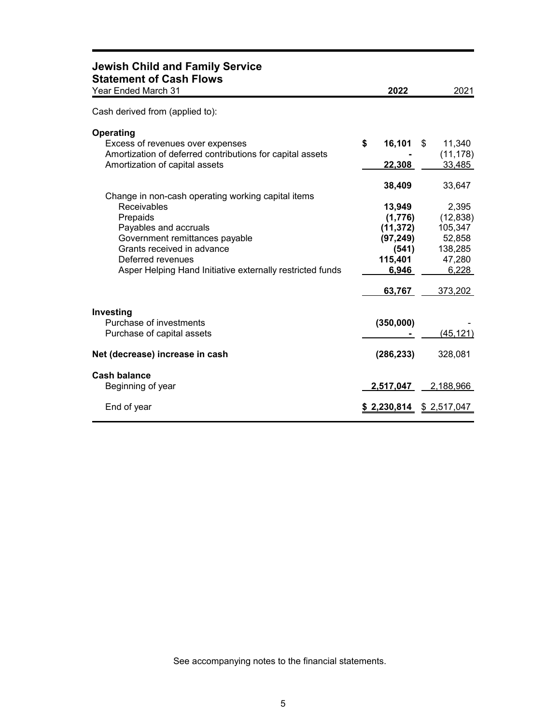| <b>Jewish Child and Family Service</b><br><b>Statement of Cash Flows</b><br>Year Ended March 31 | 2022                      | 2021         |
|-------------------------------------------------------------------------------------------------|---------------------------|--------------|
| Cash derived from (applied to):                                                                 |                           |              |
|                                                                                                 |                           |              |
| Operating<br>Excess of revenues over expenses                                                   | \$<br>16,101              | \$<br>11,340 |
| Amortization of deferred contributions for capital assets                                       |                           | (11, 178)    |
| Amortization of capital assets                                                                  | 22,308                    | 33,485       |
|                                                                                                 | 38,409                    | 33,647       |
| Change in non-cash operating working capital items                                              |                           |              |
| <b>Receivables</b>                                                                              | 13,949                    | 2,395        |
| Prepaids                                                                                        | (1,776)                   | (12, 838)    |
| Payables and accruals                                                                           | (11, 372)                 | 105,347      |
| Government remittances payable                                                                  | (97, 249)                 | 52,858       |
| Grants received in advance                                                                      | (541)                     | 138,285      |
| Deferred revenues                                                                               | 115,401                   | 47,280       |
| Asper Helping Hand Initiative externally restricted funds                                       | 6,946                     | 6,228        |
|                                                                                                 | 63,767                    | 373,202      |
| Investing                                                                                       |                           |              |
| Purchase of investments                                                                         | (350,000)                 |              |
| Purchase of capital assets                                                                      |                           | (45, 121)    |
| Net (decrease) increase in cash                                                                 | (286, 233)                | 328,081      |
| <b>Cash balance</b>                                                                             |                           |              |
| Beginning of year                                                                               | 2,517,047                 | 2,188,966    |
| End of year                                                                                     | $$2,230,814$ $$2,517,047$ |              |
|                                                                                                 |                           |              |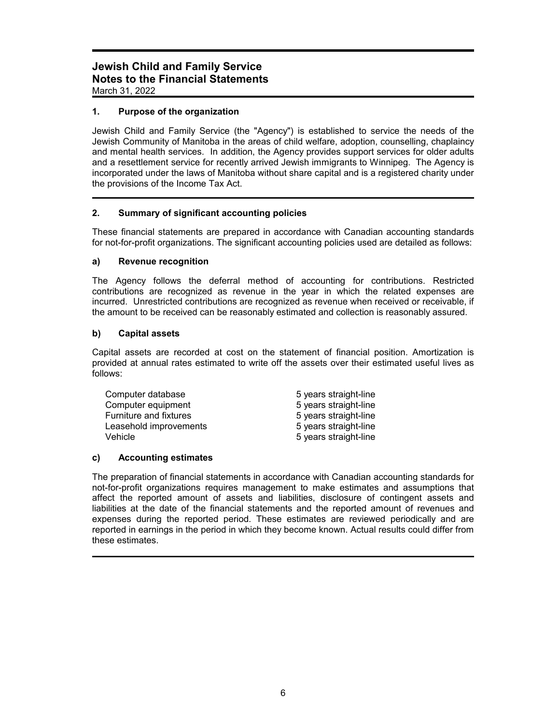#### **1. Purpose of the organization**

Jewish Child and Family Service (the "Agency") is established to service the needs of the Jewish Community of Manitoba in the areas of child welfare, adoption, counselling, chaplaincy and mental health services. In addition, the Agency provides support services for older adults and a resettlement service for recently arrived Jewish immigrants to Winnipeg. The Agency is incorporated under the laws of Manitoba without share capital and is a registered charity under the provisions of the Income Tax Act.

#### **2. Summary of significant accounting policies**

These financial statements are prepared in accordance with Canadian accounting standards for not-for-profit organizations. The significant accounting policies used are detailed as follows:

#### **a) Revenue recognition**

The Agency follows the deferral method of accounting for contributions. Restricted contributions are recognized as revenue in the year in which the related expenses are incurred. Unrestricted contributions are recognized as revenue when received or receivable, if the amount to be received can be reasonably estimated and collection is reasonably assured.

#### **b) Capital assets**

Capital assets are recorded at cost on the statement of financial position. Amortization is provided at annual rates estimated to write off the assets over their estimated useful lives as follows:

| Computer database             | 5 years straight-line |
|-------------------------------|-----------------------|
| Computer equipment            | 5 years straight-line |
| <b>Furniture and fixtures</b> | 5 years straight-line |
| Leasehold improvements        | 5 years straight-line |
| Vehicle                       | 5 years straight-line |

#### **c) Accounting estimates**

The preparation of financial statements in accordance with Canadian accounting standards for not-for-profit organizations requires management to make estimates and assumptions that affect the reported amount of assets and liabilities, disclosure of contingent assets and liabilities at the date of the financial statements and the reported amount of revenues and expenses during the reported period. These estimates are reviewed periodically and are reported in earnings in the period in which they become known. Actual results could differ from these estimates.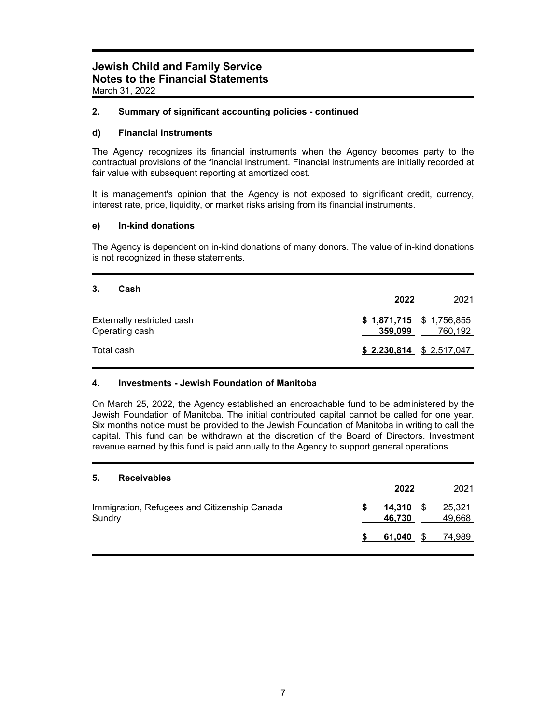#### **2. Summary of significant accounting policies - continued**

#### **d) Financial instruments**

The Agency recognizes its financial instruments when the Agency becomes party to the contractual provisions of the financial instrument. Financial instruments are initially recorded at fair value with subsequent reporting at amortized cost.

It is management's opinion that the Agency is not exposed to significant credit, currency, interest rate, price, liquidity, or market risks arising from its financial instruments.

#### **e) In-kind donations**

The Agency is dependent on in-kind donations of many donors. The value of in-kind donations is not recognized in these statements.

| 3.<br>Cash                                   |                           |                        |
|----------------------------------------------|---------------------------|------------------------|
|                                              | 2022                      | 2021                   |
| Externally restricted cash<br>Operating cash | $$1,871,715$ $$1,756,855$ | <b>359,099</b> 760,192 |
| Total cash                                   | $$2,230,814$ $$2,517,047$ |                        |

#### **4. Investments - Jewish Foundation of Manitoba**

On March 25, 2022, the Agency established an encroachable fund to be administered by the Jewish Foundation of Manitoba. The initial contributed capital cannot be called for one year. Six months notice must be provided to the Jewish Foundation of Manitoba in writing to call the capital. This fund can be withdrawn at the discretion of the Board of Directors. Investment revenue earned by this fund is paid annually to the Agency to support general operations.

| 5.<br><b>Receivables</b>                               |   | 2022                  |   | 2021             |
|--------------------------------------------------------|---|-----------------------|---|------------------|
| Immigration, Refugees and Citizenship Canada<br>Sundry | S | $14,310$ \$<br>46,730 |   | 25,321<br>49,668 |
|                                                        |   | 61,040                | S | 74,989           |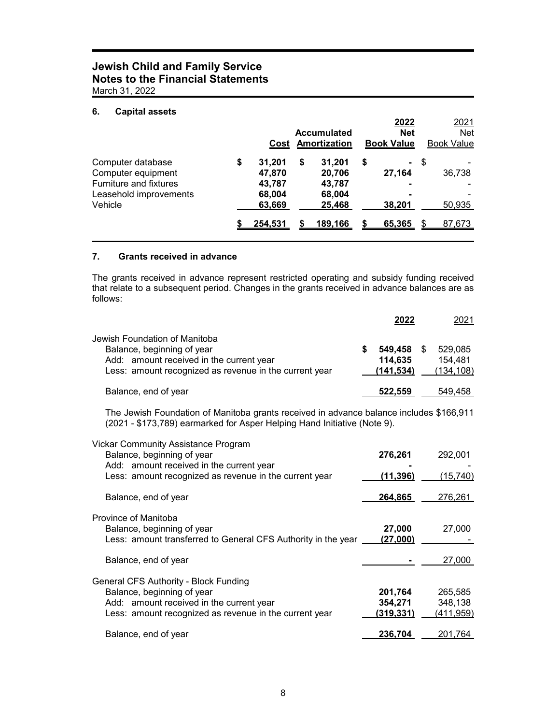#### **6. Capital assets**

|                                                                                                               | Cost                                                 |   | <b>Accumulated</b><br>Amortization             |   | 2022<br><b>Net</b><br><b>Book Value</b>      |   | 2021<br><b>Net</b><br><b>Book Value</b> |
|---------------------------------------------------------------------------------------------------------------|------------------------------------------------------|---|------------------------------------------------|---|----------------------------------------------|---|-----------------------------------------|
| Computer database<br>Computer equipment<br><b>Furniture and fixtures</b><br>Leasehold improvements<br>Vehicle | \$<br>31,201<br>47.870<br>43,787<br>68,004<br>63,669 | S | 31,201<br>20,706<br>43,787<br>68,004<br>25,468 | S | $\overline{\phantom{0}}$<br>27,164<br>38,201 | S | 36,738<br>50,935                        |
|                                                                                                               | 254,531                                              |   | 189,166                                        |   | 65,365                                       |   | 87,673                                  |

#### **7. Grants received in advance**

The grants received in advance represent restricted operating and subsidy funding received that relate to a subsequent period. Changes in the grants received in advance balances are as follows:

|                                                                                                                                                                                  | 2022                                  | 2021                                   |
|----------------------------------------------------------------------------------------------------------------------------------------------------------------------------------|---------------------------------------|----------------------------------------|
| Jewish Foundation of Manitoba<br>Balance, beginning of year<br>Add: amount received in the current year<br>Less: amount recognized as revenue in the current year                | \$<br>549,458<br>114,635<br>(141,534) | \$<br>529,085<br>154,481<br>(134, 108) |
| Balance, end of year                                                                                                                                                             | 522.559                               | 549,458                                |
| The Jewish Foundation of Manitoba grants received in advance balance includes \$166,911<br>(2021 - \$173,789) earmarked for Asper Helping Hand Initiative (Note 9).              |                                       |                                        |
| <b>Vickar Community Assistance Program</b><br>Balance, beginning of year<br>Add: amount received in the current year<br>Less: amount recognized as revenue in the current year   | 276,261<br>(11, 396)                  | 292,001<br>(15, 740)                   |
| Balance, end of year                                                                                                                                                             | 264,865                               | 276,261                                |
| Province of Manitoba<br>Balance, beginning of year<br>Less: amount transferred to General CFS Authority in the year                                                              | 27,000<br>(27,000)                    | 27,000                                 |
| Balance, end of year                                                                                                                                                             |                                       | 27,000                                 |
| <b>General CFS Authority - Block Funding</b><br>Balance, beginning of year<br>Add: amount received in the current year<br>Less: amount recognized as revenue in the current year | 201,764<br>354,271<br>(319, 331)      | 265,585<br>348,138<br>(411, 959)       |
| Balance, end of year                                                                                                                                                             | 236,704                               | 201,764                                |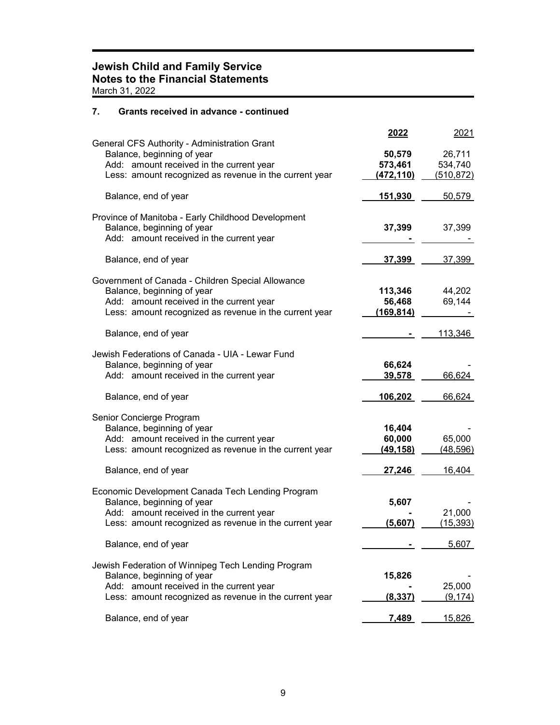March 31, 2022

#### **7. Grants received in advance - continued**

| General CFS Authority - Administration Grant           | 2022             | 2021       |
|--------------------------------------------------------|------------------|------------|
| Balance, beginning of year                             | 50,579           | 26,711     |
| Add: amount received in the current year               | 573,461          | 534,740    |
|                                                        |                  |            |
| Less: amount recognized as revenue in the current year | <u>(472,110)</u> | (510, 872) |
| Balance, end of year                                   | <u>151,930</u>   | 50,579     |
| Province of Manitoba - Early Childhood Development     |                  |            |
| Balance, beginning of year                             | 37,399           | 37,399     |
| Add: amount received in the current year               |                  |            |
| Balance, end of year                                   | 37,399           | 37,399     |
|                                                        |                  |            |
| Government of Canada - Children Special Allowance      | 113,346          | 44,202     |
| Balance, beginning of year                             |                  |            |
| Add: amount received in the current year               | 56,468           | 69,144     |
| Less: amount recognized as revenue in the current year | <u>(169,814)</u> |            |
| Balance, end of year                                   |                  | 113,346    |
| Jewish Federations of Canada - UIA - Lewar Fund        |                  |            |
|                                                        |                  |            |
| Balance, beginning of year                             | 66,624           |            |
| Add: amount received in the current year               | 39,578           | 66,624     |
| Balance, end of year                                   | 106,202          | 66,624     |
|                                                        |                  |            |
| Senior Concierge Program                               |                  |            |
| Balance, beginning of year                             | 16,404           |            |
| Add: amount received in the current year               | 60,000           | 65,000     |
| Less: amount recognized as revenue in the current year | <u>(49,158)</u>  | (48, 596)  |
| Balance, end of year                                   | 27,246           | 16,404     |
|                                                        |                  |            |
| Economic Development Canada Tech Lending Program       |                  |            |
| Balance, beginning of year                             | 5,607            |            |
| Add: amount received in the current year               |                  | 21,000     |
| Less: amount recognized as revenue in the current year | (5,607)          | (15, 393)  |
| Balance, end of year                                   |                  | 5,607      |
| Jewish Federation of Winnipeg Tech Lending Program     |                  |            |
| Balance, beginning of year                             | 15,826           |            |
| Add: amount received in the current year               |                  | 25,000     |
|                                                        |                  |            |
| Less: amount recognized as revenue in the current year | (8, 337)         | (9, 174)   |
| Balance, end of year                                   | 7,489            | 15,826     |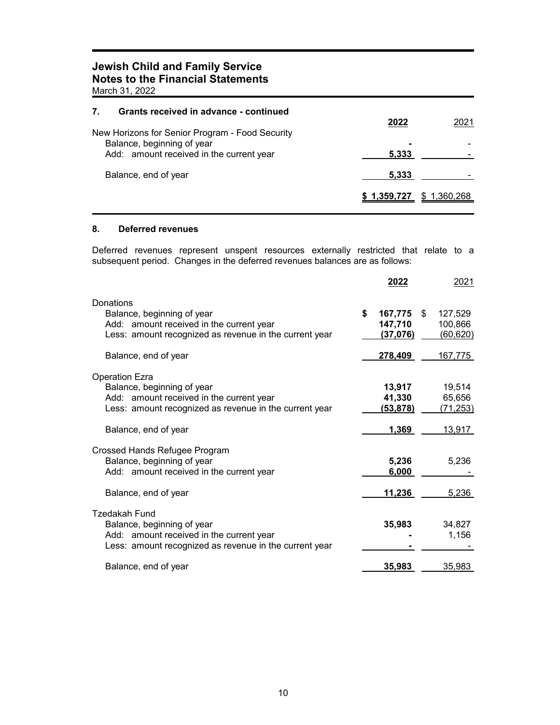| Grants received in advance - continued<br>7.                                  |             |             |
|-------------------------------------------------------------------------------|-------------|-------------|
| New Horizons for Senior Program - Food Security<br>Balance, beginning of year | 2022        | 2021        |
| Add: amount received in the current year                                      | 5,333       |             |
| Balance, end of year                                                          | 5.333       |             |
|                                                                               | \$1,359,727 | \$1,360,268 |

### **8. Deferred revenues**

Deferred revenues represent unspent resources externally restricted that relate to a subsequent period. Changes in the deferred revenues balances are as follows:

| Donations                                                                                                                                                 | \$<br>167,775                 | \$<br>127.529                 |
|-----------------------------------------------------------------------------------------------------------------------------------------------------------|-------------------------------|-------------------------------|
| Balance, beginning of year<br>Add: amount received in the current year<br>Less: amount recognized as revenue in the current year                          | 147.710<br>(37,076)           | 100,866<br>(60, 620)          |
| Balance, end of year                                                                                                                                      | 278,409                       | 167,775                       |
| <b>Operation Ezra</b><br>Balance, beginning of year<br>Add: amount received in the current year<br>Less: amount recognized as revenue in the current year | 13,917<br>41,330<br>(53, 878) | 19,514<br>65,656<br>(71, 253) |
| Balance, end of year                                                                                                                                      | 1,369                         | 13,917                        |
| Crossed Hands Refugee Program<br>Balance, beginning of year<br>Add: amount received in the current year                                                   | 5,236<br>6,000                | 5,236                         |
| Balance, end of year                                                                                                                                      | 11,236                        | 5.236                         |
| Tzedakah Fund<br>Balance, beginning of year<br>Add: amount received in the current year<br>Less: amount recognized as revenue in the current year         | 35,983                        | 34,827<br>1,156               |
| Balance, end of year                                                                                                                                      | 35,983                        | 35,983                        |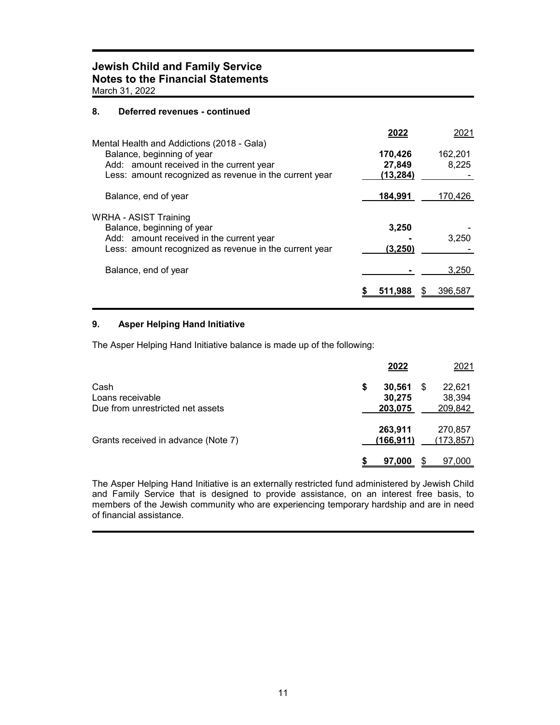March 31, 2022

#### **8. Deferred revenues - continued**

|                                                                                                                                                                                | 202:                          | 2021             |
|--------------------------------------------------------------------------------------------------------------------------------------------------------------------------------|-------------------------------|------------------|
| Mental Health and Addictions (2018 - Gala)<br>Balance, beginning of year<br>Add: amount received in the current year<br>Less: amount recognized as revenue in the current year | 170,426<br>27,849<br>(13,284) | 162,201<br>8.225 |
| Balance, end of year                                                                                                                                                           | 184.991                       | 170.426          |
| WRHA - ASIST Training<br>Balance, beginning of year<br>Add: amount received in the current year<br>Less: amount recognized as revenue in the current year                      | 3,250<br>(3,250)              | 3,250            |
| Balance, end of year                                                                                                                                                           |                               | 3,250            |
|                                                                                                                                                                                | 511.988                       | 396,587          |

#### **9. Asper Helping Hand Initiative**

The Asper Helping Hand Initiative balance is made up of the following:

|                                                              | 2022                                   | 2021                        |
|--------------------------------------------------------------|----------------------------------------|-----------------------------|
| Cash<br>Loans receivable<br>Due from unrestricted net assets | \$<br>30,561<br>S<br>30,275<br>203,075 | 22,621<br>38,394<br>209,842 |
| Grants received in advance (Note 7)                          | 263,911<br>(166, 911)                  | 270,857<br>(173, 857)       |
|                                                              | 97,000                                 | 97,000                      |

The Asper Helping Hand Initiative is an externally restricted fund administered by Jewish Child and Family Service that is designed to provide assistance, on an interest free basis, to members of the Jewish community who are experiencing temporary hardship and are in need of financial assistance.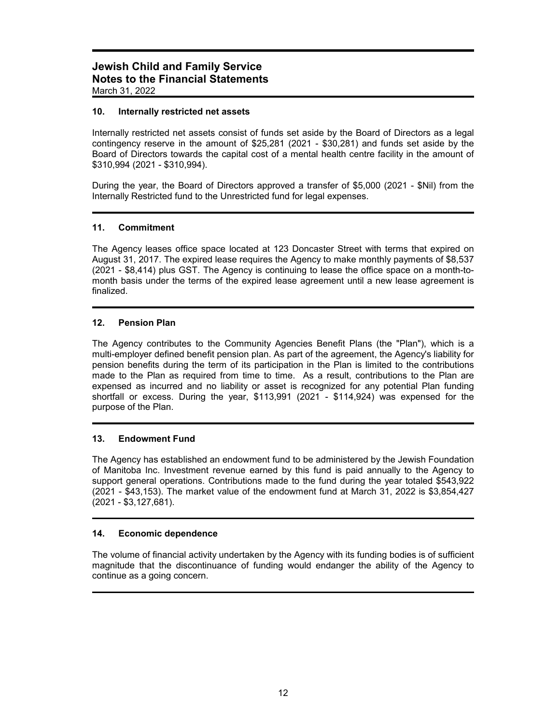#### **10. Internally restricted net assets**

Internally restricted net assets consist of funds set aside by the Board of Directors as a legal contingency reserve in the amount of \$25,281 (2021 - \$30,281) and funds set aside by the Board of Directors towards the capital cost of a mental health centre facility in the amount of \$310,994 (2021 - \$310,994).

During the year, the Board of Directors approved a transfer of \$5,000 (2021 - \$Nil) from the Internally Restricted fund to the Unrestricted fund for legal expenses.

#### **11. Commitment**

The Agency leases office space located at 123 Doncaster Street with terms that expired on August 31, 2017. The expired lease requires the Agency to make monthly payments of \$8,537 (2021 - \$8,414) plus GST. The Agency is continuing to lease the office space on a month-tomonth basis under the terms of the expired lease agreement until a new lease agreement is finalized.

#### **12. Pension Plan**

The Agency contributes to the Community Agencies Benefit Plans (the "Plan"), which is a multi-employer defined benefit pension plan. As part of the agreement, the Agency's liability for pension benefits during the term of its participation in the Plan is limited to the contributions made to the Plan as required from time to time. As a result, contributions to the Plan are expensed as incurred and no liability or asset is recognized for any potential Plan funding shortfall or excess. During the year, \$113,991 (2021 - \$114,924) was expensed for the purpose of the Plan.

#### **13. Endowment Fund**

The Agency has established an endowment fund to be administered by the Jewish Foundation of Manitoba Inc. Investment revenue earned by this fund is paid annually to the Agency to support general operations. Contributions made to the fund during the year totaled \$543,922 (2021 - \$43,153). The market value of the endowment fund at March 31, 2022 is \$3,854,427 (2021 - \$3,127,681).

#### **14. Economic dependence**

The volume of financial activity undertaken by the Agency with its funding bodies is of sufficient magnitude that the discontinuance of funding would endanger the ability of the Agency to continue as a going concern.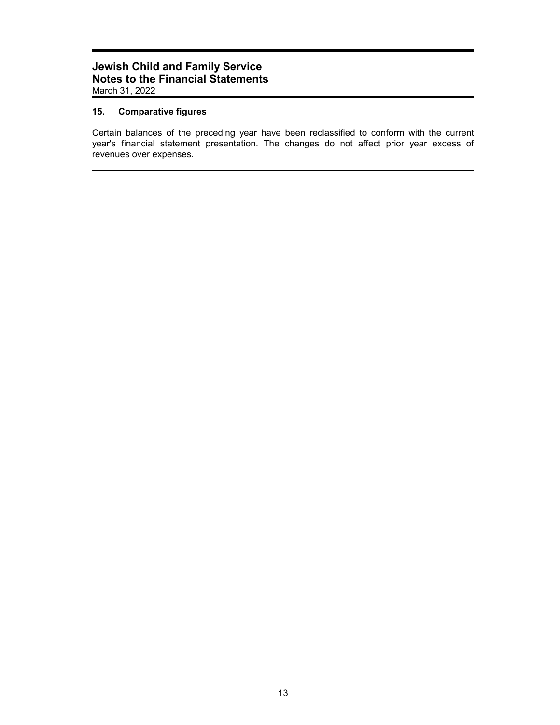#### **15. Comparative figures**

Certain balances of the preceding year have been reclassified to conform with the current year's financial statement presentation. The changes do not affect prior year excess of revenues over expenses.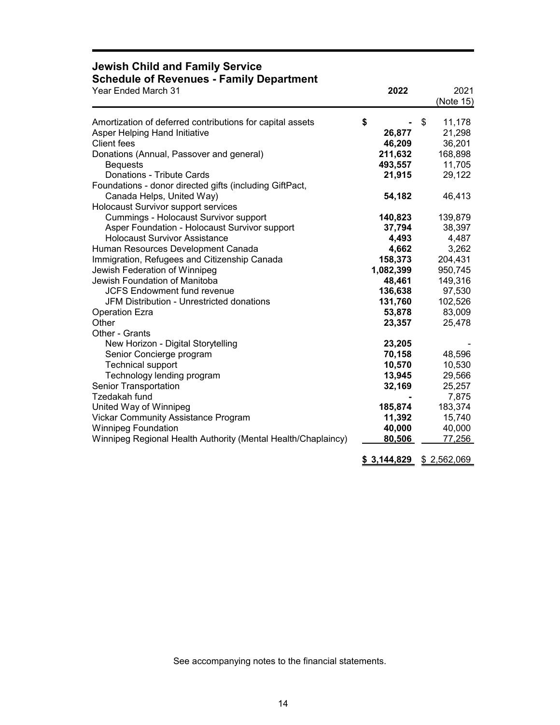# **Jewish Child and Family Service**

#### **Schedule of Revenues - Family Department**

| <b>Year Ended March 31</b>                                    | 2022        | 2021<br>(Note 15) |
|---------------------------------------------------------------|-------------|-------------------|
| Amortization of deferred contributions for capital assets     | \$          | \$<br>11,178      |
| Asper Helping Hand Initiative                                 | 26,877      | 21,298            |
| <b>Client fees</b>                                            | 46,209      | 36,201            |
| Donations (Annual, Passover and general)                      | 211,632     | 168,898           |
| <b>Bequests</b>                                               | 493,557     | 11,705            |
| Donations - Tribute Cards                                     | 21,915      | 29,122            |
| Foundations - donor directed gifts (including GiftPact,       |             |                   |
| Canada Helps, United Way)                                     | 54,182      | 46,413            |
| <b>Holocaust Survivor support services</b>                    |             |                   |
| Cummings - Holocaust Survivor support                         | 140,823     | 139,879           |
| Asper Foundation - Holocaust Survivor support                 | 37,794      | 38,397            |
| <b>Holocaust Survivor Assistance</b>                          | 4,493       | 4,487             |
| Human Resources Development Canada                            | 4,662       | 3,262             |
| Immigration, Refugees and Citizenship Canada                  | 158,373     | 204,431           |
| Jewish Federation of Winnipeg                                 | 1,082,399   | 950,745           |
| Jewish Foundation of Manitoba                                 | 48,461      | 149,316           |
| <b>JCFS Endowment fund revenue</b>                            | 136,638     | 97,530            |
| JFM Distribution - Unrestricted donations                     | 131,760     | 102,526           |
| <b>Operation Ezra</b>                                         | 53,878      | 83,009            |
| Other                                                         | 23,357      | 25,478            |
| Other - Grants                                                |             |                   |
| New Horizon - Digital Storytelling                            | 23,205      |                   |
| Senior Concierge program                                      | 70,158      | 48,596            |
| <b>Technical support</b>                                      | 10,570      | 10,530            |
| Technology lending program                                    | 13,945      | 29,566            |
| Senior Transportation                                         | 32,169      | 25,257            |
| Tzedakah fund                                                 |             | 7,875             |
| United Way of Winnipeg                                        | 185,874     | 183,374           |
| <b>Vickar Community Assistance Program</b>                    | 11,392      | 15,740            |
| <b>Winnipeg Foundation</b>                                    | 40,000      | 40,000            |
| Winnipeg Regional Health Authority (Mental Health/Chaplaincy) | 80,506      | 77,256            |
|                                                               | \$3,144,829 | \$2,562,069       |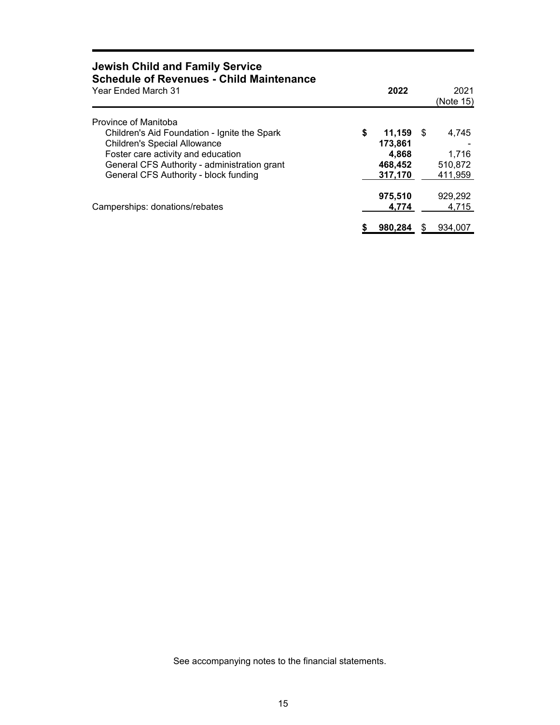| <b>Jewish Child and Family Service</b><br><b>Schedule of Revenues - Child Maintenance</b><br><b>Year Ended March 31</b> | 2022         |      | 2021<br>(Note 15) |
|-------------------------------------------------------------------------------------------------------------------------|--------------|------|-------------------|
| Province of Manitoba                                                                                                    |              |      |                   |
| Children's Aid Foundation - Ignite the Spark                                                                            | \$<br>11,159 | - \$ | 4,745             |
| <b>Children's Special Allowance</b>                                                                                     | 173,861      |      |                   |
| Foster care activity and education                                                                                      | 4.868        |      | 1,716             |
| General CFS Authority - administration grant                                                                            | 468,452      |      | 510,872           |
| General CFS Authority - block funding                                                                                   | 317,170      |      | 411.959           |
|                                                                                                                         | 975,510      |      | 929,292           |
| Camperships: donations/rebates                                                                                          | 4.774        |      | 4.715             |
|                                                                                                                         |              |      |                   |
|                                                                                                                         | 980.284      |      | 934,007           |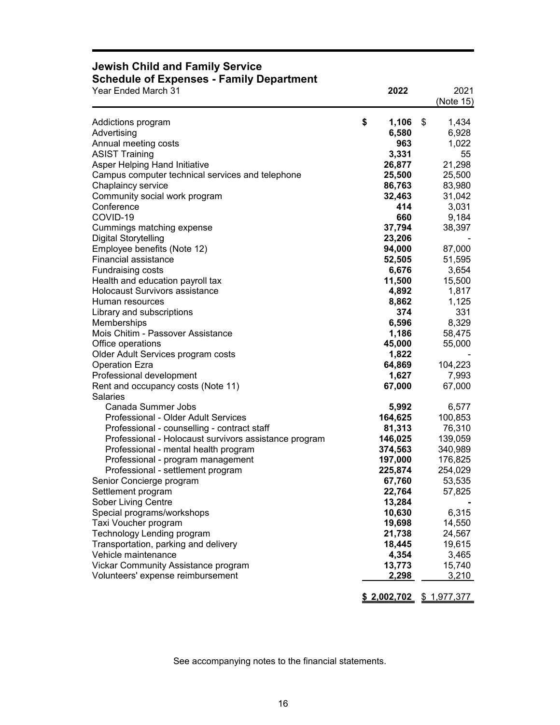| <b>Jewish Child and Family Service</b>                  |                 |                   |
|---------------------------------------------------------|-----------------|-------------------|
| <b>Schedule of Expenses - Family Department</b>         |                 |                   |
| Year Ended March 31                                     | 2022            | 2021<br>(Note 15) |
|                                                         |                 |                   |
| Addictions program                                      | \$<br>1,106     | \$<br>1,434       |
| Advertising                                             | 6,580           | 6,928             |
| Annual meeting costs                                    | 963             | 1,022             |
| <b>ASIST Training</b>                                   | 3,331           | 55                |
| Asper Helping Hand Initiative                           | 26,877          | 21,298            |
| Campus computer technical services and telephone        | 25,500          | 25,500            |
| Chaplaincy service                                      | 86,763          | 83,980            |
| Community social work program                           | 32,463          | 31,042            |
| Conference                                              | 414             | 3,031             |
| COVID-19                                                | 660             | 9,184             |
| Cummings matching expense                               | 37,794          | 38,397            |
| <b>Digital Storytelling</b>                             | 23,206          |                   |
| Employee benefits (Note 12)                             | 94,000          | 87,000            |
| <b>Financial assistance</b>                             | 52,505          | 51,595            |
| Fundraising costs                                       | 6,676           | 3,654             |
| Health and education payroll tax                        | 11,500          | 15,500            |
| <b>Holocaust Survivors assistance</b>                   | 4,892           | 1,817             |
| Human resources                                         | 8,862           | 1,125             |
| Library and subscriptions                               | 374             | 331               |
| Memberships<br>Mois Chitim - Passover Assistance        | 6,596           | 8,329             |
|                                                         | 1,186           | 58,475            |
| Office operations<br>Older Adult Services program costs | 45,000<br>1,822 | 55,000            |
| <b>Operation Ezra</b>                                   | 64,869          | 104,223           |
| Professional development                                | 1,627           | 7,993             |
| Rent and occupancy costs (Note 11)                      | 67,000          | 67,000            |
| <b>Salaries</b>                                         |                 |                   |
| Canada Summer Jobs                                      | 5,992           | 6,577             |
| Professional - Older Adult Services                     | 164,625         | 100,853           |
| Professional - counselling - contract staff             | 81,313          | 76,310            |
| Professional - Holocaust survivors assistance program   | 146,025         | 139,059           |
| Professional - mental health program                    | 374,563         | 340,989           |
| Professional - program management                       | 197,000         | 176,825           |
| Professional - settlement program                       | 225,874         | 254,029           |
| Senior Concierge program                                | 67,760          | 53,535            |
| Settlement program                                      | 22,764          | 57,825            |
| <b>Sober Living Centre</b>                              | 13,284          |                   |
| Special programs/workshops                              | 10,630          | 6,315             |
| Taxi Voucher program                                    | 19,698          | 14,550            |
| Technology Lending program                              | 21,738          | 24,567            |
| Transportation, parking and delivery                    | 18,445          | 19,615            |
| Vehicle maintenance                                     | 4,354           | 3,465             |
| <b>Vickar Community Assistance program</b>              | 13,773          | 15,740            |
| Volunteers' expense reimbursement                       | 2,298           | 3,210             |
|                                                         |                 |                   |

# **\$ 2,002,702** \$ 1,977,377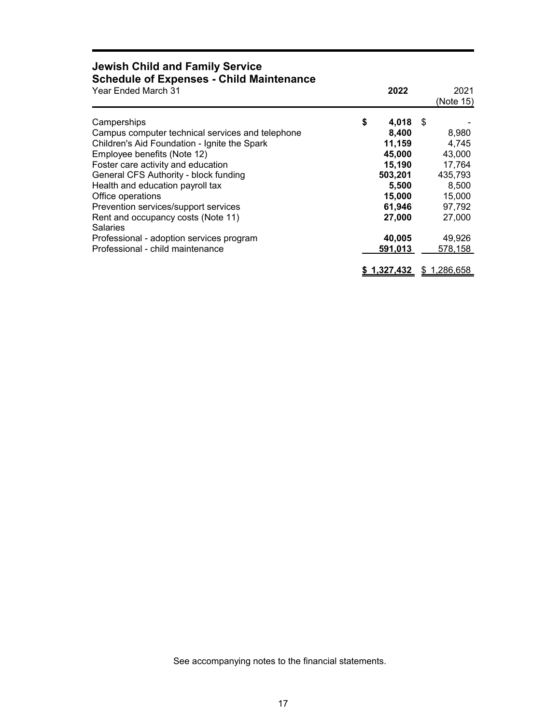# **Jewish Child and Family Service**

| <b>Schedule of Expenses - Child Maintenance</b> |
|-------------------------------------------------|
|                                                 |

| <b>Year Ended March 31</b>                            | 2022        | 2021<br>(Note 15) |
|-------------------------------------------------------|-------------|-------------------|
| Camperships                                           | \$<br>4,018 | \$                |
| Campus computer technical services and telephone      | 8,400       | 8,980             |
| Children's Aid Foundation - Ignite the Spark          | 11,159      | 4,745             |
| Employee benefits (Note 12)                           | 45,000      | 43,000            |
| Foster care activity and education                    | 15,190      | 17,764            |
| General CFS Authority - block funding                 | 503,201     | 435,793           |
| Health and education payroll tax                      | 5,500       | 8,500             |
| Office operations                                     | 15,000      | 15,000            |
| Prevention services/support services                  | 61,946      | 97,792            |
| Rent and occupancy costs (Note 11)<br><b>Salaries</b> | 27,000      | 27,000            |
| Professional - adoption services program              | 40,005      | 49,926            |
| Professional - child maintenance                      | 591,013     | 578,158           |
|                                                       | \$1,327,432 | \$1,286,658       |